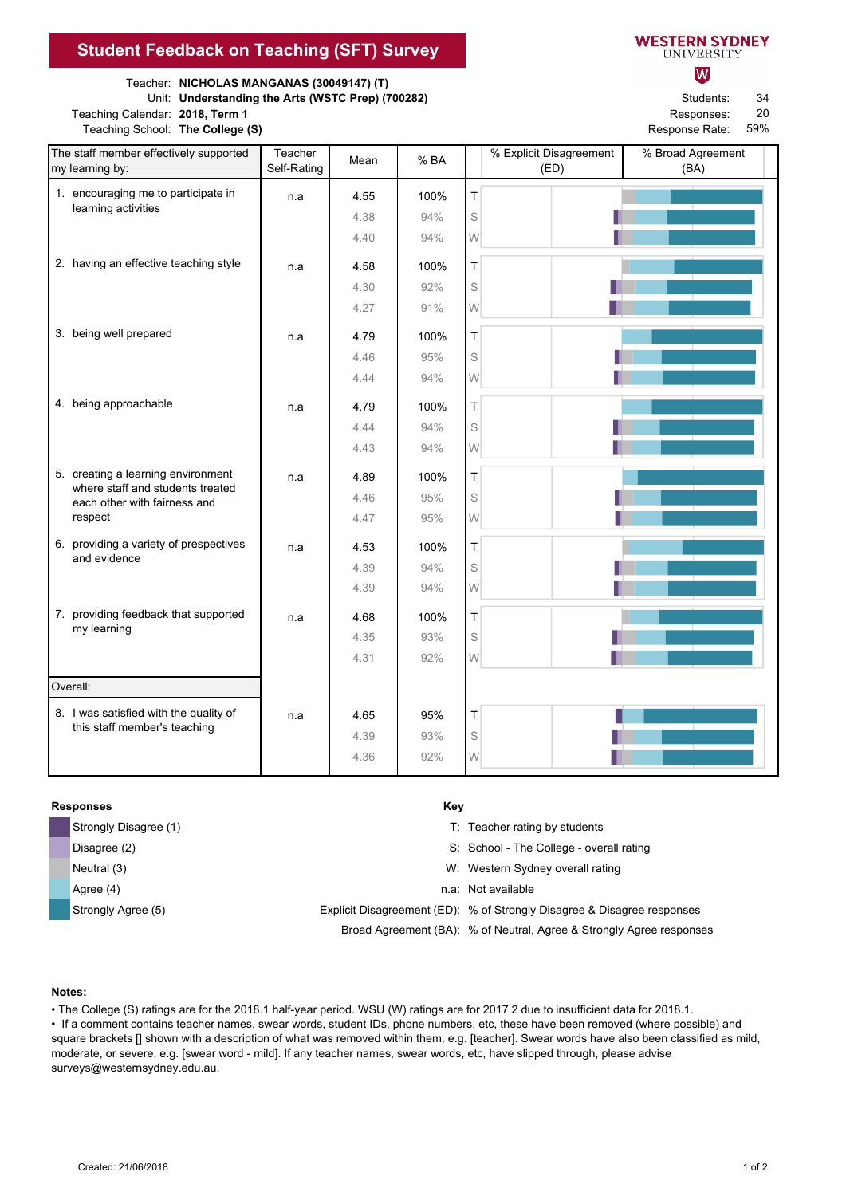## **Student Feedback on Teaching (SFT) Survey**

Teacher: **NICHOLAS MANGANAS (30049147) (T)**

Unit: **Understanding the Arts (WSTC Prep) (700282)** Students:

Teaching Calendar: 2018, Term 1 **Responses: Responses: Responses: Responses: Responses: Responses: Responses: Responses: Responses: Responses: Responses: Responses: Responses: Responses: Respons** Teaching School: The College (S) **Response Rate: Response Rate: Response Rate: Response Rate: Response Rate: Response Rate: Response Rate: Response Rate: Response Rate: Response Rate: Response Rate: R** 

700282<br>200282<br>200282

| <b>VESTERN SYDNEY</b> |  |  |
|-----------------------|--|--|
| UNIVERSITY            |  |  |

W

34 20

59%

| The staff member effectively supported<br>my learning by:              | Teacher<br>Self-Rating | Mean         | %BA        |             | % Explicit Disagreement<br>(ED) | % Broad Agreement<br>(BA) |
|------------------------------------------------------------------------|------------------------|--------------|------------|-------------|---------------------------------|---------------------------|
| 1. encouraging me to participate in                                    | n.a                    | 4.55         | 100%       | T           |                                 |                           |
| learning activities                                                    |                        | 4.38         | 94%        | S           |                                 |                           |
|                                                                        |                        | 4.40         | 94%        | W           |                                 |                           |
| 2. having an effective teaching style                                  | n.a                    | 4.58         | 100%       | T           |                                 |                           |
|                                                                        |                        | 4.30         | 92%        | S           |                                 |                           |
|                                                                        |                        | 4.27         | 91%        | W           |                                 |                           |
| 3. being well prepared                                                 | n.a                    | 4.79         | 100%       | T           |                                 |                           |
|                                                                        |                        | 4.46         | 95%        | S           |                                 |                           |
|                                                                        |                        | 4.44         | 94%        | W           |                                 |                           |
| 4. being approachable                                                  |                        |              |            |             |                                 |                           |
|                                                                        | n.a                    | 4.79         | 100%       | $\top$<br>S |                                 |                           |
|                                                                        |                        | 4.44<br>4.43 | 94%<br>94% | W           |                                 |                           |
|                                                                        |                        |              |            |             |                                 |                           |
| 5. creating a learning environment<br>where staff and students treated | n.a                    | 4.89         | 100%       | T           |                                 |                           |
| each other with fairness and                                           |                        | 4.46         | 95%        | S           |                                 |                           |
| respect                                                                |                        | 4.47         | 95%        | W           |                                 |                           |
| 6. providing a variety of prespectives<br>and evidence                 | n.a                    | 4.53         | 100%       | T           |                                 |                           |
|                                                                        |                        | 4.39         | 94%        | S           |                                 |                           |
|                                                                        |                        | 4.39         | 94%        | W           |                                 |                           |
| 7. providing feedback that supported                                   | n.a                    | 4.68         | 100%       | $\top$      |                                 |                           |
| my learning                                                            |                        | 4.35         | 93%        | S           |                                 |                           |
|                                                                        |                        | 4.31         | 92%        | W           |                                 |                           |
| Overall:                                                               |                        |              |            |             |                                 |                           |
| 8. I was satisfied with the quality of                                 | n.a                    | 4.65         | 95%        | Τ           |                                 |                           |
| this staff member's teaching                                           |                        | 4.39         | 93%        | S           |                                 |                           |
|                                                                        |                        | 4.36         | 92%        | W           |                                 |                           |

## **Responses** Key

| Strongly Disagree (1) | T: Teacher rating by students                                           |
|-----------------------|-------------------------------------------------------------------------|
| Disagree (2)          | S: School - The College - overall rating                                |
| Neutral (3)           | W: Western Sydney overall rating                                        |
| Agree (4)             | n.a: Not available                                                      |
| Strongly Agree (5)    | Explicit Disagreement (ED): % of Strongly Disagree & Disagree responses |
|                       | Broad Agreement (BA): % of Neutral, Agree & Strongly Agree responses    |

## **Notes:**

• The College (S) ratings are for the 2018.1 half-year period. WSU (W) ratings are for 2017.2 due to insufficient data for 2018.1.

• If a comment contains teacher names, swear words, student IDs, phone numbers, etc, these have been removed (where possible) and square brackets [] shown with a description of what was removed within them, e.g. [teacher]. Swear words have also been classified as mild, moderate, or severe, e.g. [swear word - mild]. If any teacher names, swear words, etc, have slipped through, please advise surveys@westernsydney.edu.au.